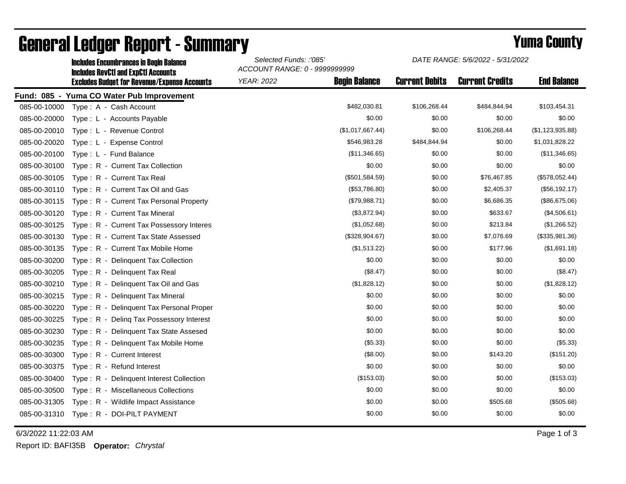|              | <b>Includes Encumbrances in Begin Balance</b><br><b>Includes RevCtI and ExpCtI Accounts</b><br><b>Excludes Budget for Revenue/Expense Accounts</b> | Selected Funds: :'085'<br>ACCOUNT RANGE: 0 - 9999999999 |                      | DATE RANGE: 5/6/2022 - 5/31/2022 |                        |                    |
|--------------|----------------------------------------------------------------------------------------------------------------------------------------------------|---------------------------------------------------------|----------------------|----------------------------------|------------------------|--------------------|
|              |                                                                                                                                                    | <b>YEAR: 2022</b>                                       | <b>Begin Balance</b> | <b>Current Debits</b>            | <b>Current Credits</b> | <b>End Balance</b> |
|              | Fund: 085 - Yuma CO Water Pub Improvement                                                                                                          |                                                         |                      |                                  |                        |                    |
| 085-00-10000 | Type: A - Cash Account                                                                                                                             |                                                         | \$482,030.81         | \$106,268.44                     | \$484,844.94           | \$103,454.31       |
| 085-00-20000 | Type: L - Accounts Payable                                                                                                                         |                                                         | \$0.00               | \$0.00                           | \$0.00                 | \$0.00             |
| 085-00-20010 | Type: L - Revenue Control                                                                                                                          |                                                         | (\$1,017,667.44)     | \$0.00                           | \$106,268.44           | (\$1,123,935.88)   |
| 085-00-20020 | Type: L - Expense Control                                                                                                                          |                                                         | \$546,983.28         | \$484,844.94                     | \$0.00                 | \$1,031,828.22     |
| 085-00-20100 | Type: L - Fund Balance                                                                                                                             |                                                         | (\$11,346.65)        | \$0.00                           | \$0.00                 | (\$11,346.65)      |
| 085-00-30100 | Type: R - Current Tax Collection                                                                                                                   |                                                         | \$0.00               | \$0.00                           | \$0.00                 | \$0.00             |
| 085-00-30105 | Type: R - Current Tax Real                                                                                                                         |                                                         | (\$501,584.59)       | \$0.00                           | \$76,467.85            | (\$578,052.44)     |
| 085-00-30110 | Type: R - Current Tax Oil and Gas                                                                                                                  |                                                         | (\$53,786.80)        | \$0.00                           | \$2,405.37             | (\$56, 192.17)     |
| 085-00-30115 | Type: R - Current Tax Personal Property                                                                                                            |                                                         | (\$79,988.71)        | \$0.00                           | \$6,686.35             | (\$86,675.06)      |
| 085-00-30120 | Type: R - Current Tax Mineral                                                                                                                      |                                                         | (\$3,872.94)         | \$0.00                           | \$633.67               | (\$4,506.61)       |
| 085-00-30125 | Type: R - Current Tax Possessory Interes                                                                                                           |                                                         | (\$1,052.68)         | \$0.00                           | \$213.84               | (\$1,266.52)       |
| 085-00-30130 | Type: R - Current Tax State Assessed                                                                                                               |                                                         | (\$328,904.67)       | \$0.00                           | \$7,076.69             | (\$335,981.36)     |
| 085-00-30135 | Type: R - Current Tax Mobile Home                                                                                                                  |                                                         | (\$1,513.22)         | \$0.00                           | \$177.96               | (\$1,691.18)       |
| 085-00-30200 | Type: R - Delinquent Tax Collection                                                                                                                |                                                         | \$0.00               | \$0.00                           | \$0.00                 | \$0.00             |
| 085-00-30205 | Type: R - Delinquent Tax Real                                                                                                                      |                                                         | (\$8.47)             | \$0.00                           | \$0.00                 | (\$8.47)           |
| 085-00-30210 | Type: R - Delinquent Tax Oil and Gas                                                                                                               |                                                         | (\$1,828.12)         | \$0.00                           | \$0.00                 | (\$1,828.12)       |
| 085-00-30215 | Type: R - Delinquent Tax Mineral                                                                                                                   |                                                         | \$0.00               | \$0.00                           | \$0.00                 | \$0.00             |
| 085-00-30220 | Type: R - Delinquent Tax Personal Proper                                                                                                           |                                                         | \$0.00               | \$0.00                           | \$0.00                 | \$0.00             |
| 085-00-30225 | Type: R - Deling Tax Possessory Interest                                                                                                           |                                                         | \$0.00               | \$0.00                           | \$0.00                 | \$0.00             |
| 085-00-30230 | Type: R - Delinquent Tax State Assesed                                                                                                             |                                                         | \$0.00               | \$0.00                           | \$0.00                 | \$0.00             |
| 085-00-30235 | Type: R - Delinguent Tax Mobile Home                                                                                                               |                                                         | (\$5.33)             | \$0.00                           | \$0.00                 | (\$5.33)           |
| 085-00-30300 | Type: R - Current Interest                                                                                                                         |                                                         | (\$8.00)             | \$0.00                           | \$143.20               | (\$151.20)         |
| 085-00-30375 | Type: R - Refund Interest                                                                                                                          |                                                         | \$0.00               | \$0.00                           | \$0.00                 | \$0.00             |
| 085-00-30400 | Type: R - Delinquent Interest Collection                                                                                                           |                                                         | (\$153.03)           | \$0.00                           | \$0.00                 | (\$153.03)         |
| 085-00-30500 | Type: R - Miscellaneous Collections                                                                                                                |                                                         | \$0.00               | \$0.00                           | \$0.00                 | \$0.00             |
| 085-00-31305 | Type: R - Wildlife Impact Assistance                                                                                                               |                                                         | \$0.00               | \$0.00                           | \$505.68               | (\$505.68)         |
| 085-00-31310 | Type: R - DOI-PILT PAYMENT                                                                                                                         |                                                         | \$0.00               | \$0.00                           | \$0.00                 | \$0.00             |

## General Ledger Report - Summary **Example 2018** Yuma County

6/3/2022 11:22:03 AM Page 1 of 3

Report ID: BAFI35B **Operator:** *Chrystal*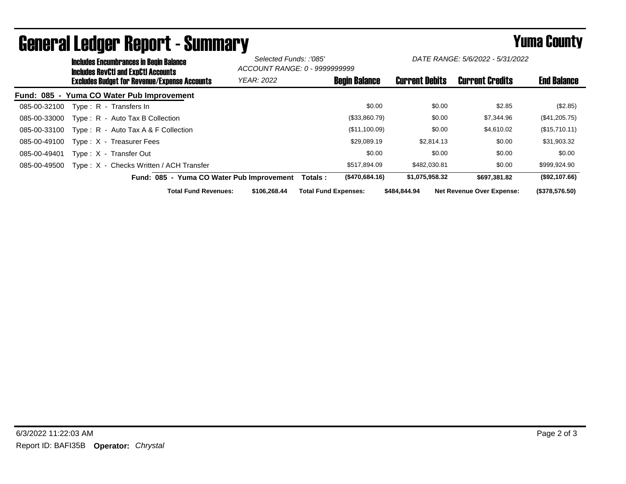| <b>Includes Encumbrances in Begin Balance</b><br><b>Includes RevCtI and ExpCtI Accounts</b> |                                           | Selected Funds: :'085'<br>ACCOUNT RANGE: 0 - 9999999999 |                       | DATE RANGE: 5/6/2022 - 5/31/2022 |                    |
|---------------------------------------------------------------------------------------------|-------------------------------------------|---------------------------------------------------------|-----------------------|----------------------------------|--------------------|
| <b>Excludes Budget for Revenue/Expense Accounts</b>                                         | <b>YEAR: 2022</b>                         | <b>Begin Balance</b>                                    | <b>Current Debits</b> | <b>Current Credits</b>           | <b>End Balance</b> |
| Fund: 085 - Yuma CO Water Pub Improvement                                                   |                                           |                                                         |                       |                                  |                    |
| 085-00-32100<br>Type: R - Transfers In                                                      |                                           | \$0.00                                                  | \$0.00                | \$2.85                           | (\$2.85)           |
| Type: R - Auto Tax B Collection<br>085-00-33000                                             |                                           | (\$33,860.79)                                           | \$0.00                | \$7,344.96                       | $(\$41,205.75)$    |
| Type: $R -$ Auto Tax A & F Collection<br>085-00-33100                                       |                                           | (\$11,100.09)                                           | \$0.00                | \$4,610.02                       | (\$15,710.11)      |
| Type: X - Treasurer Fees<br>085-00-49100                                                    |                                           | \$29,089.19                                             | \$2,814.13            | \$0.00                           | \$31,903.32        |
| Type: X - Transfer Out<br>085-00-49401                                                      |                                           | \$0.00                                                  | \$0.00                | \$0.00                           | \$0.00             |
| Type: X - Checks Written / ACH Transfer<br>085-00-49500                                     |                                           | \$517,894.09                                            | \$482,030.81          | \$0.00                           | \$999,924.90       |
|                                                                                             | Fund: 085 - Yuma CO Water Pub Improvement | (\$470,684.16)<br>Totals :                              | \$1,075,958.32        | \$697.381.82                     | (\$92,107.66)      |
| <b>Total Fund Revenues:</b>                                                                 | \$106,268,44                              | <b>Total Fund Expenses:</b>                             | \$484.844.94          | <b>Net Revenue Over Expense:</b> | (\$378,576.50)     |

## General Ledger Report - Summary **Example 2018** Yuma County